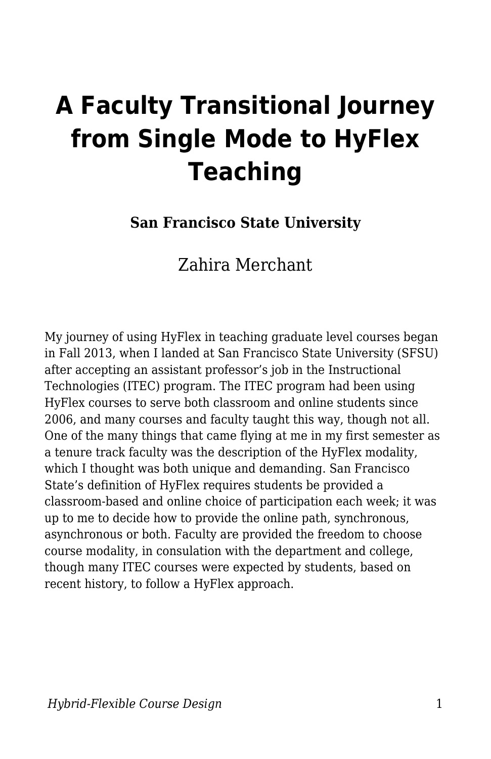# **A Faculty Transitional Journey from Single Mode to HyFlex Teaching**

**San Francisco State University**

Zahira Merchant

My journey of using HyFlex in teaching graduate level courses began in Fall 2013, when I landed at San Francisco State University (SFSU) after accepting an assistant professor's job in the Instructional Technologies (ITEC) program. The ITEC program had been using HyFlex courses to serve both classroom and online students since 2006, and many courses and faculty taught this way, though not all. One of the many things that came flying at me in my first semester as a tenure track faculty was the description of the HyFlex modality, which I thought was both unique and demanding. San Francisco State's definition of HyFlex requires students be provided a classroom-based and online choice of participation each week; it was up to me to decide how to provide the online path, synchronous, asynchronous or both. Faculty are provided the freedom to choose course modality, in consulation with the department and college, though many ITEC courses were expected by students, based on recent history, to follow a HyFlex approach.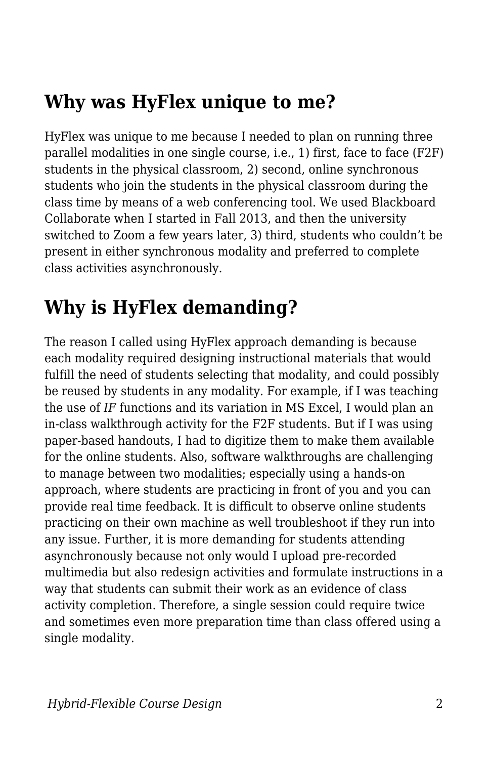## **Why was HyFlex unique to me?**

HyFlex was unique to me because I needed to plan on running three parallel modalities in one single course, i.e., 1) first, face to face (F2F) students in the physical classroom, 2) second, online synchronous students who join the students in the physical classroom during the class time by means of a web conferencing tool. We used Blackboard Collaborate when I started in Fall 2013, and then the university switched to Zoom a few years later, 3) third, students who couldn't be present in either synchronous modality and preferred to complete class activities asynchronously.

# **Why is HyFlex demanding?**

The reason I called using HyFlex approach demanding is because each modality required designing instructional materials that would fulfill the need of students selecting that modality, and could possibly be reused by students in any modality. For example, if I was teaching the use of *IF* functions and its variation in MS Excel, I would plan an in-class walkthrough activity for the F2F students. But if I was using paper-based handouts, I had to digitize them to make them available for the online students. Also, software walkthroughs are challenging to manage between two modalities; especially using a hands-on approach, where students are practicing in front of you and you can provide real time feedback. It is difficult to observe online students practicing on their own machine as well troubleshoot if they run into any issue. Further, it is more demanding for students attending asynchronously because not only would I upload pre-recorded multimedia but also redesign activities and formulate instructions in a way that students can submit their work as an evidence of class activity completion. Therefore, a single session could require twice and sometimes even more preparation time than class offered using a single modality.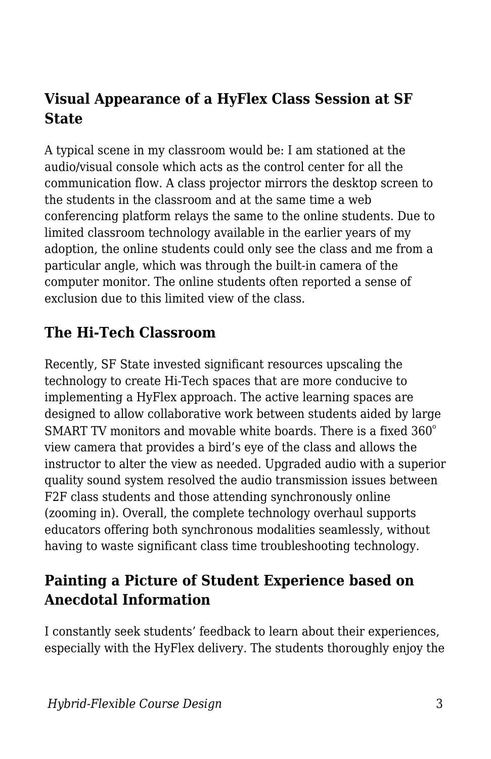## **Visual Appearance of a HyFlex Class Session at SF State**

A typical scene in my classroom would be: I am stationed at the audio/visual console which acts as the control center for all the communication flow. A class projector mirrors the desktop screen to the students in the classroom and at the same time a web conferencing platform relays the same to the online students. Due to limited classroom technology available in the earlier years of my adoption, the online students could only see the class and me from a particular angle, which was through the built-in camera of the computer monitor. The online students often reported a sense of exclusion due to this limited view of the class.

#### **The Hi-Tech Classroom**

Recently, SF State invested significant resources upscaling the technology to create Hi-Tech spaces that are more conducive to implementing a HyFlex approach. The active learning spaces are designed to allow collaborative work between students aided by large SMART TV monitors and movable white boards. There is a fixed  $360^{\circ}$ view camera that provides a bird's eye of the class and allows the instructor to alter the view as needed. Upgraded audio with a superior quality sound system resolved the audio transmission issues between F2F class students and those attending synchronously online (zooming in). Overall, the complete technology overhaul supports educators offering both synchronous modalities seamlessly, without having to waste significant class time troubleshooting technology.

## **Painting a Picture of Student Experience based on Anecdotal Information**

I constantly seek students' feedback to learn about their experiences, especially with the HyFlex delivery. The students thoroughly enjoy the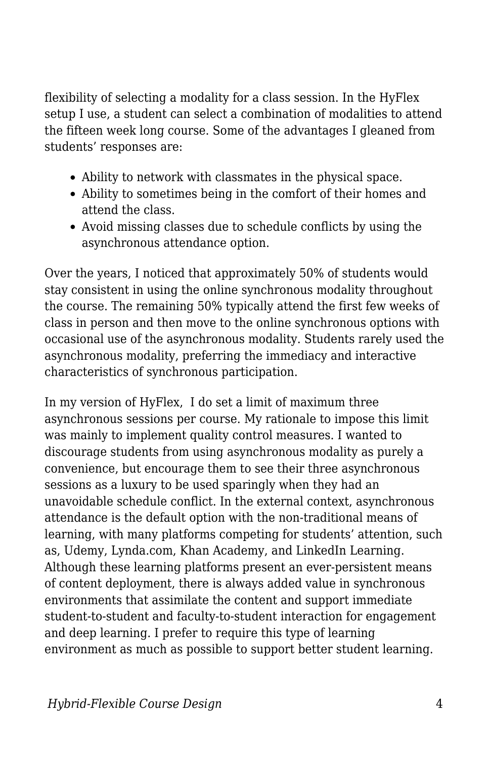flexibility of selecting a modality for a class session. In the HyFlex setup I use, a student can select a combination of modalities to attend the fifteen week long course. Some of the advantages I gleaned from students' responses are:

- Ability to network with classmates in the physical space.
- Ability to sometimes being in the comfort of their homes and attend the class.
- Avoid missing classes due to schedule conflicts by using the asynchronous attendance option.

Over the years, I noticed that approximately 50% of students would stay consistent in using the online synchronous modality throughout the course. The remaining 50% typically attend the first few weeks of class in person and then move to the online synchronous options with occasional use of the asynchronous modality. Students rarely used the asynchronous modality, preferring the immediacy and interactive characteristics of synchronous participation.

In my version of HyFlex, I do set a limit of maximum three asynchronous sessions per course. My rationale to impose this limit was mainly to implement quality control measures. I wanted to discourage students from using asynchronous modality as purely a convenience, but encourage them to see their three asynchronous sessions as a luxury to be used sparingly when they had an unavoidable schedule conflict. In the external context, asynchronous attendance is the default option with the non-traditional means of learning, with many platforms competing for students' attention, such as, Udemy, Lynda.com, Khan Academy, and LinkedIn Learning. Although these learning platforms present an ever-persistent means of content deployment, there is always added value in synchronous environments that assimilate the content and support immediate student-to-student and faculty-to-student interaction for engagement and deep learning. I prefer to require this type of learning environment as much as possible to support better student learning.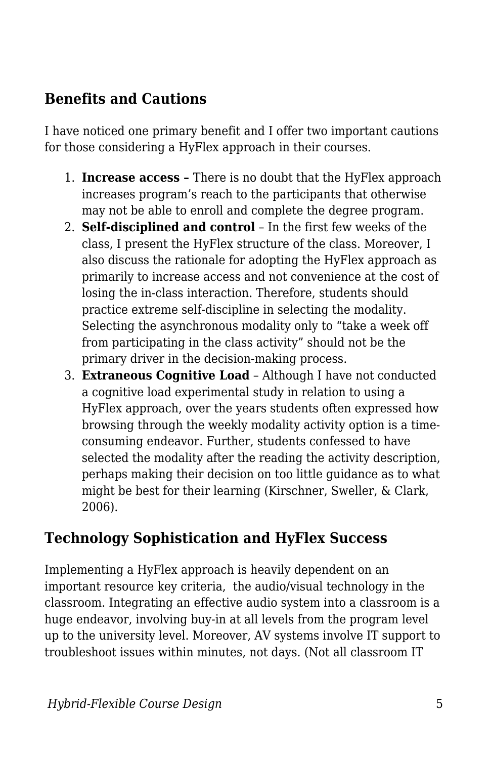## **Benefits and Cautions**

I have noticed one primary benefit and I offer two important cautions for those considering a HyFlex approach in their courses.

- 1. **Increase access** There is no doubt that the HyFlex approach increases program's reach to the participants that otherwise may not be able to enroll and complete the degree program.
- 2. **Self-disciplined and control** In the first few weeks of the class, I present the HyFlex structure of the class. Moreover, I also discuss the rationale for adopting the HyFlex approach as primarily to increase access and not convenience at the cost of losing the in-class interaction. Therefore, students should practice extreme self-discipline in selecting the modality. Selecting the asynchronous modality only to "take a week off from participating in the class activity" should not be the primary driver in the decision-making process.
- 3. **Extraneous Cognitive Load** Although I have not conducted a cognitive load experimental study in relation to using a HyFlex approach, over the years students often expressed how browsing through the weekly modality activity option is a timeconsuming endeavor. Further, students confessed to have selected the modality after the reading the activity description, perhaps making their decision on too little guidance as to what might be best for their learning (Kirschner, Sweller, & Clark, 2006).

## **Technology Sophistication and HyFlex Success**

Implementing a HyFlex approach is heavily dependent on an important resource key criteria, the audio/visual technology in the classroom. Integrating an effective audio system into a classroom is a huge endeavor, involving buy-in at all levels from the program level up to the university level. Moreover, AV systems involve IT support to troubleshoot issues within minutes, not days. (Not all classroom IT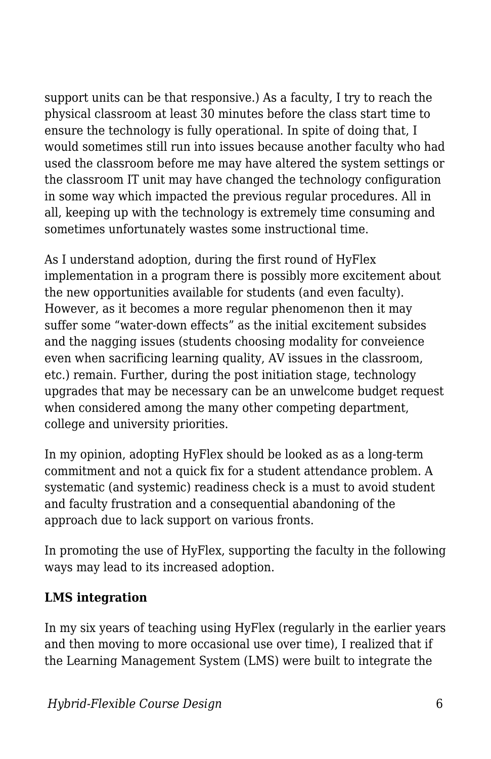support units can be that responsive.) As a faculty, I try to reach the physical classroom at least 30 minutes before the class start time to ensure the technology is fully operational. In spite of doing that, I would sometimes still run into issues because another faculty who had used the classroom before me may have altered the system settings or the classroom IT unit may have changed the technology configuration in some way which impacted the previous regular procedures. All in all, keeping up with the technology is extremely time consuming and sometimes unfortunately wastes some instructional time.

As I understand adoption, during the first round of HyFlex implementation in a program there is possibly more excitement about the new opportunities available for students (and even faculty). However, as it becomes a more regular phenomenon then it may suffer some "water-down effects" as the initial excitement subsides and the nagging issues (students choosing modality for conveience even when sacrificing learning quality, AV issues in the classroom, etc.) remain. Further, during the post initiation stage, technology upgrades that may be necessary can be an unwelcome budget request when considered among the many other competing department, college and university priorities.

In my opinion, adopting HyFlex should be looked as as a long-term commitment and not a quick fix for a student attendance problem. A systematic (and systemic) readiness check is a must to avoid student and faculty frustration and a consequential abandoning of the approach due to lack support on various fronts.

In promoting the use of HyFlex, supporting the faculty in the following ways may lead to its increased adoption.

#### **LMS integration**

In my six years of teaching using HyFlex (regularly in the earlier years and then moving to more occasional use over time), I realized that if the Learning Management System (LMS) were built to integrate the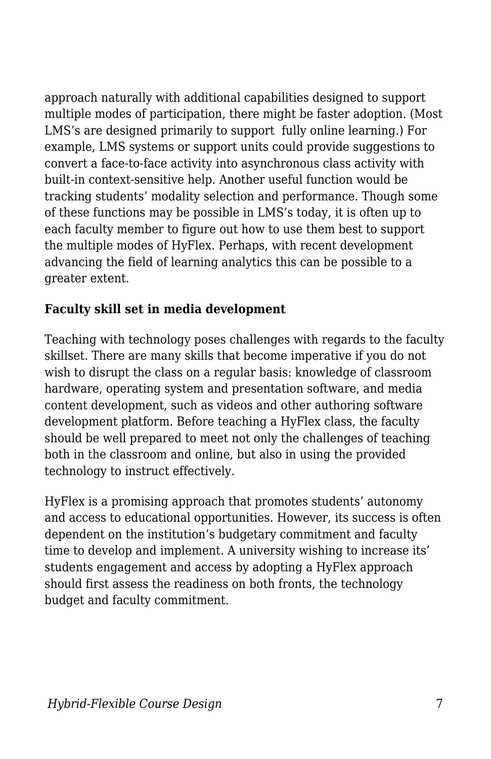approach naturally with additional capabilities designed to support multiple modes of participation, there might be faster adoption. (Most LMS's are designed primarily to support fully online learning.) For example, LMS systems or support units could provide suggestions to convert a face-to-face activity into asynchronous class activity with built-in context-sensitive help. Another useful function would be tracking students' modality selection and performance. Though some of these functions may be possible in LMS's today, it is often up to each faculty member to figure out how to use them best to support the multiple modes of HyFlex. Perhaps, with recent development advancing the field of learning analytics this can be possible to a greater extent.

#### **Faculty skill set in media development**

Teaching with technology poses challenges with regards to the faculty skillset. There are many skills that become imperative if you do not wish to disrupt the class on a regular basis: knowledge of classroom hardware, operating system and presentation software, and media content development, such as videos and other authoring software development platform. Before teaching a HyFlex class, the faculty should be well prepared to meet not only the challenges of teaching both in the classroom and online, but also in using the provided technology to instruct effectively.

HyFlex is a promising approach that promotes students' autonomy and access to educational opportunities. However, its success is often dependent on the institution's budgetary commitment and faculty time to develop and implement. A university wishing to increase its' students engagement and access by adopting a HyFlex approach should first assess the readiness on both fronts, the technology budget and faculty commitment.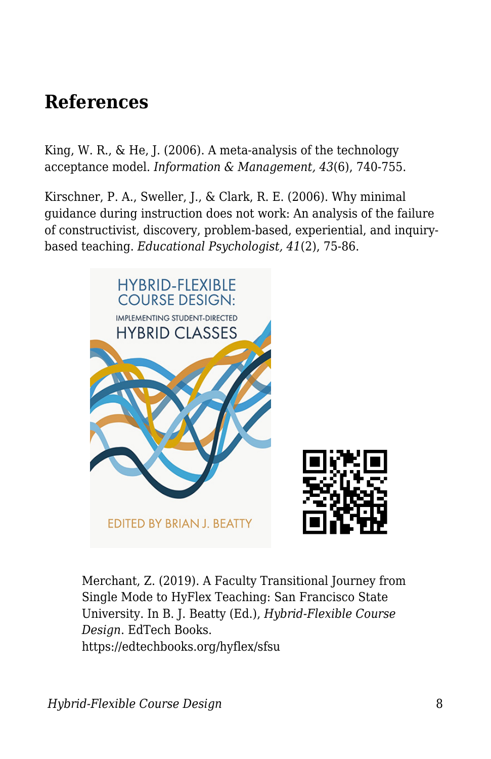## **References**

King, W. R., & He, J. (2006). A meta-analysis of the technology acceptance model. *Information & Management, 43*(6), 740-755.

Kirschner, P. A., Sweller, J., & Clark, R. E. (2006). Why minimal guidance during instruction does not work: An analysis of the failure of constructivist, discovery, problem-based, experiential, and inquirybased teaching. *Educational Psychologist, 41*(2), 75-86.



Merchant, Z. (2019). A Faculty Transitional Journey from Single Mode to HyFlex Teaching: San Francisco State University. In B. J. Beatty (Ed.), *Hybrid-Flexible Course Design*. EdTech Books. https://edtechbooks.org/hyflex/sfsu